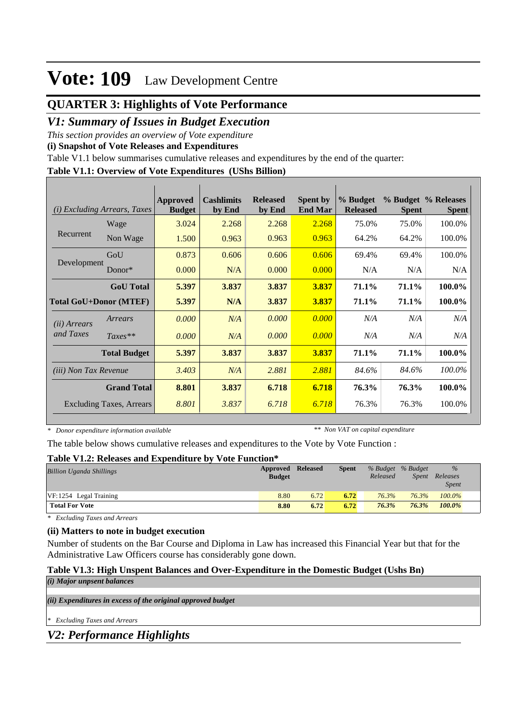# **Vote: 109** Law Development Centre

# **QUARTER 3: Highlights of Vote Performance**

## *V1: Summary of Issues in Budget Execution*

*This section provides an overview of Vote expenditure* 

**(i) Snapshot of Vote Releases and Expenditures**

Table V1.1 below summarises cumulative releases and expenditures by the end of the quarter:

### **Table V1.1: Overview of Vote Expenditures (UShs Billion)**

| (i)                           | <i>Excluding Arrears, Taxes</i> | Approved<br><b>Budget</b> | <b>Cashlimits</b><br>by End | <b>Released</b><br>by End | <b>Spent by</b><br><b>End Mar</b> | % Budget<br><b>Released</b> | <b>Spent</b> | % Budget % Releases<br><b>Spent</b> |
|-------------------------------|---------------------------------|---------------------------|-----------------------------|---------------------------|-----------------------------------|-----------------------------|--------------|-------------------------------------|
| Recurrent                     | Wage                            | 3.024                     | 2.268                       | 2.268                     | 2.268                             | 75.0%                       | 75.0%        | 100.0%                              |
|                               | Non Wage                        | 1.500                     | 0.963                       | 0.963                     | 0.963                             | 64.2%                       | 64.2%        | 100.0%                              |
| Development                   | GoU                             | 0.873                     | 0.606                       | 0.606                     | 0.606                             | 69.4%                       | 69.4%        | 100.0%                              |
|                               | Donor $*$                       | 0.000                     | N/A                         | 0.000                     | 0.000                             | N/A                         | N/A          | N/A                                 |
|                               | <b>GoU</b> Total                | 5.397                     | 3.837                       | 3.837                     | 3.837                             | 71.1%                       | 71.1%        | 100.0%                              |
| <b>Total GoU+Donor (MTEF)</b> |                                 | 5.397                     | N/A                         | 3.837                     | 3.837                             | 71.1%                       | 71.1%        | 100.0%                              |
| ( <i>ii</i> ) Arrears         | Arrears                         | 0.000                     | N/A                         | 0.000                     | 0.000                             | N/A                         | N/A          | N/A                                 |
| and Taxes                     | $Taxes**$                       | 0.000                     | N/A                         | 0.000                     | 0.000                             | N/A                         | N/A          | N/A                                 |
|                               | <b>Total Budget</b>             | 5.397                     | 3.837                       | 3.837                     | 3.837                             | 71.1%                       | 71.1%        | 100.0%                              |
| <i>(iii)</i> Non Tax Revenue  |                                 | 3.403                     | N/A                         | 2.881                     | 2.881                             | 84.6%                       | 84.6%        | 100.0%                              |
|                               | <b>Grand Total</b>              | 8.801                     | 3.837                       | 6.718                     | 6.718                             | 76.3%                       | 76.3%        | 100.0%                              |
|                               | Excluding Taxes, Arrears        | 8.801                     | 3.837                       | 6.718                     | 6.718                             | 76.3%                       | 76.3%        | 100.0%                              |

*\* Donor expenditure information available*

*\*\* Non VAT on capital expenditure*

The table below shows cumulative releases and expenditures to the Vote by Vote Function :

### **Table V1.2: Releases and Expenditure by Vote Function\***

| <b>Billion Uganda Shillings</b> | Approved Released<br><b>Budget</b> |      | <b>Spent</b> | % Budget % Budget<br>Released | <i>Spent</i> | $\frac{9}{6}$<br>Releases<br><i>Spent</i> |
|---------------------------------|------------------------------------|------|--------------|-------------------------------|--------------|-------------------------------------------|
| $VF: 1254$ Legal Training       | 8.80                               | 6.72 | 6.72         | 76.3%                         | 76.3%        | $100.0\%$                                 |
| <b>Total For Vote</b>           | 8.80                               | 6.72 | 6.72         | 76.3%                         | 76.3%        | 100.0%                                    |

*\* Excluding Taxes and Arrears*

## **(ii) Matters to note in budget execution**

Number of students on the Bar Course and Diploma in Law has increased this Financial Year but that for the Administrative Law Officers course has considerably gone down.

## **Table V1.3: High Unspent Balances and Over-Expenditure in the Domestic Budget (Ushs Bn)**

*(ii) Expenditures in excess of the original approved budget (i) Major unpsent balances*

*\* Excluding Taxes and Arrears*

*V2: Performance Highlights*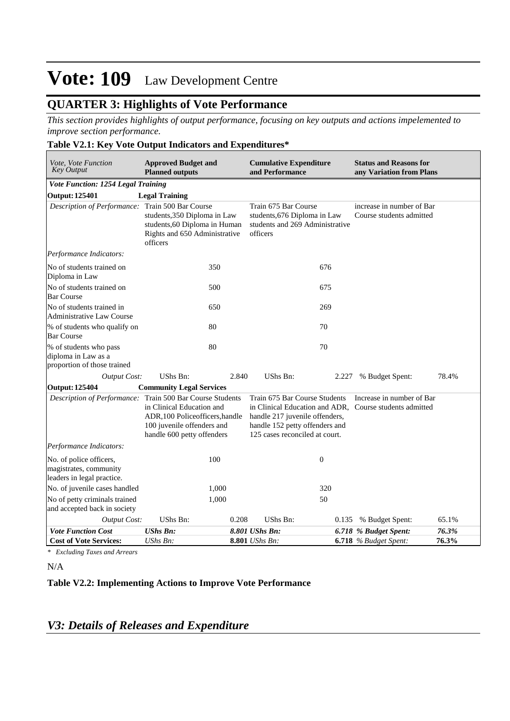# **Vote: 109** Law Development Centre

# **QUARTER 3: Highlights of Vote Performance**

*This section provides highlights of output performance, focusing on key outputs and actions impelemented to improve section performance.*

|  |  |  |  | Table V2.1: Key Vote Output Indicators and Expenditures* |
|--|--|--|--|----------------------------------------------------------|
|  |  |  |  |                                                          |

| Vote, Vote Function<br><b>Key Output</b>                                        | <b>Approved Budget and</b><br><b>Planned outputs</b>                                                                     |       | <b>Cumulative Expenditure</b><br>and Performance                                                                                    |       | <b>Status and Reasons for</b><br>any Variation from Plans                            |                |
|---------------------------------------------------------------------------------|--------------------------------------------------------------------------------------------------------------------------|-------|-------------------------------------------------------------------------------------------------------------------------------------|-------|--------------------------------------------------------------------------------------|----------------|
| Vote Function: 1254 Legal Training                                              |                                                                                                                          |       |                                                                                                                                     |       |                                                                                      |                |
| <b>Output: 125401</b>                                                           | <b>Legal Training</b>                                                                                                    |       |                                                                                                                                     |       |                                                                                      |                |
| Description of Performance: Train 500 Bar Course                                | students, 350 Diploma in Law<br>students, 60 Diploma in Human<br>Rights and 650 Administrative<br>officers               |       | Train 675 Bar Course<br>students, 676 Diploma in Law<br>students and 269 Administrative<br>officers                                 |       | increase in number of Bar<br>Course students admitted                                |                |
| Performance Indicators:                                                         |                                                                                                                          |       |                                                                                                                                     |       |                                                                                      |                |
| No of students trained on<br>Diploma in Law                                     | 350                                                                                                                      |       |                                                                                                                                     | 676   |                                                                                      |                |
| No of students trained on<br><b>Bar Course</b>                                  | 500                                                                                                                      |       |                                                                                                                                     | 675   |                                                                                      |                |
| No of students trained in<br><b>Administrative Law Course</b>                   | 650                                                                                                                      |       |                                                                                                                                     | 269   |                                                                                      |                |
| % of students who qualify on<br><b>Bar Course</b>                               | 80                                                                                                                       |       | 70                                                                                                                                  |       |                                                                                      |                |
| % of students who pass<br>diploma in Law as a<br>proportion of those trained    | 80                                                                                                                       |       | 70                                                                                                                                  |       |                                                                                      |                |
| <b>Output Cost:</b>                                                             | UShs Bn:                                                                                                                 | 2.840 | UShs Bn:                                                                                                                            | 2.227 | % Budget Spent:                                                                      | 78.4%          |
| <b>Output: 125404</b>                                                           | <b>Community Legal Services</b>                                                                                          |       |                                                                                                                                     |       |                                                                                      |                |
| Description of Performance: Train 500 Bar Course Students                       | in Clinical Education and<br>ADR, 100 Policeofficers, handle<br>100 juvenile offenders and<br>handle 600 petty offenders |       | Train 675 Bar Course Students<br>handle 217 juvenile offenders,<br>handle 152 petty offenders and<br>125 cases reconciled at court. |       | Increase in number of Bar<br>in Clinical Education and ADR, Course students admitted |                |
| Performance Indicators:                                                         |                                                                                                                          |       |                                                                                                                                     |       |                                                                                      |                |
| No. of police officers,<br>magistrates, community<br>leaders in legal practice. | 100                                                                                                                      |       | $\boldsymbol{0}$                                                                                                                    |       |                                                                                      |                |
| No. of juvenile cases handled                                                   | 1,000                                                                                                                    |       |                                                                                                                                     | 320   |                                                                                      |                |
| No of petty criminals trained<br>and accepted back in society                   | 1,000                                                                                                                    |       | 50                                                                                                                                  |       |                                                                                      |                |
| <b>Output Cost:</b>                                                             | <b>UShs Bn:</b>                                                                                                          | 0.208 | UShs Bn:                                                                                                                            |       | 0.135 % Budget Spent:                                                                | 65.1%          |
| <b>Vote Function Cost</b><br><b>Cost of Vote Services:</b>                      | <b>UShs Bn:</b><br>UShs Bn:                                                                                              |       | 8.801 UShs Bn:<br>8.801 UShs Bn:                                                                                                    |       | 6.718 % Budget Spent:<br>$6.718$ % Budget Spent:                                     | 76.3%<br>76.3% |

*\* Excluding Taxes and Arrears*

N/A

## **Table V2.2: Implementing Actions to Improve Vote Performance**

## *V3: Details of Releases and Expenditure*